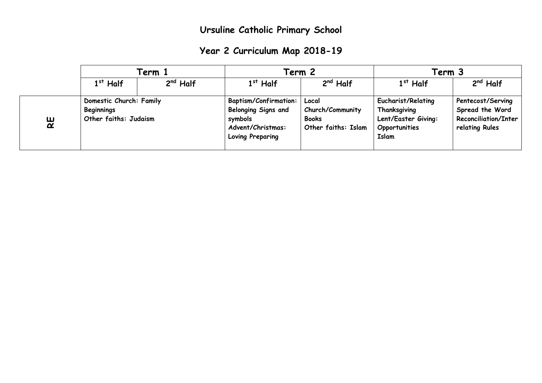|  | Year 2 Curriculum Map 2018-19 |  |  |  |
|--|-------------------------------|--|--|--|
|--|-------------------------------|--|--|--|

|   | Term 1                                                                |            | Term 2                                                                                                                |                                                                  | Term 3                                                                                     |                                                                                       |
|---|-----------------------------------------------------------------------|------------|-----------------------------------------------------------------------------------------------------------------------|------------------------------------------------------------------|--------------------------------------------------------------------------------------------|---------------------------------------------------------------------------------------|
|   | $1st$ Half                                                            | $2nd$ Half | $1st$ Half                                                                                                            | $2nd$ Half                                                       | $1st$ Half                                                                                 | $2nd$ Half                                                                            |
| 있 | Domestic Church: Family<br><b>Beginnings</b><br>Other faiths: Judaism |            | <b>Baptism/Confirmation:</b><br><b>Belonging Signs and</b><br>symbols<br>Advent/Christmas:<br><b>Loving Preparing</b> | Local<br>Church/Community<br><b>Books</b><br>Other faiths: Islam | <b>Eucharist/Relating</b><br>Thanksgiving<br>Lent/Easter Giving:<br>Opportunities<br>Islam | Pentecost/Serving<br>Spread the Word<br><b>Reconciliation/Inter</b><br>relating Rules |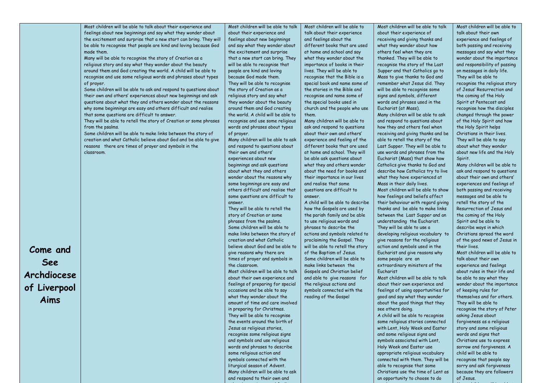|              | Most children will be able to talk about their experience and     | Most children will be able to talk                             | Most children will be able to                               | Most children will be able to talk                                     | Most children will be able to                                 |
|--------------|-------------------------------------------------------------------|----------------------------------------------------------------|-------------------------------------------------------------|------------------------------------------------------------------------|---------------------------------------------------------------|
|              | feelings about new beginnings and say what they wonder about      | about their experience and                                     | talk about their experience                                 | about their experience of                                              | talk about their own                                          |
|              | the excitement and surprise that a new start can bring. They will | feelings about new beginnings                                  | and feelings about the                                      | receiving and giving thanks and                                        | experience and feelings of                                    |
|              | be able to recognise that people are kind and loving because God  | and say what they wonder about                                 | different books that are used                               | what they wonder about how                                             | both passing and receiving                                    |
|              | made them.                                                        | the excitement and surprise                                    | at home and school and say                                  | others feel when they are                                              | messages and say what they                                    |
|              | Many will be able to recognise the story of Creation as a         | that a new start can bring. They                               | what they wonder about the                                  | thanked. They will be able to                                          | wonder about the importance                                   |
|              | religious story and say what they wonder about the beauty         | will be able to recognise that                                 | importance of books in their                                | recognise the story of the Last                                        | and responsibility of passing                                 |
|              | around them and God creating the world. A child will be able to   | people are kind and loving                                     | lives. They will be able to                                 | Supper and that Catholics go to                                        | on messages in daily life.                                    |
|              | recognise and use some religious words and phrases about types    | because God made them.                                         | recognise that the Bible is a                               | Mass to give thanks to God and                                         | They will be able to                                          |
|              | of prayer.                                                        | They will be able to recognise                                 | special book and name some of                               | remember what Jesus did. They                                          | recognise the religious story                                 |
|              | Some children will be able to ask and respond to questions about  | the story of Creation as a                                     | the stories in the Bible and                                | will be able to recognise some                                         | of Jesus' Resurrection and                                    |
|              | their own and others' experiences about new beginnings and ask    | religious story and say what                                   | recognise and name some of                                  | signs and symbols, different                                           | the coming of the Holy                                        |
|              | questions about what they and others wonder about the reasons     | they wonder about the beauty                                   | the special books used in                                   | words and phrases used in the                                          | Spirit at Pentecost and                                       |
|              | why some beginnings are easy and others difficult and realise     | around them and God creating                                   | church and the people who use                               | Eucharist (at Mass).                                                   | recognise how the disciples                                   |
|              | that some questions are difficult to answer.                      | the world. A child will be able to                             | them.                                                       | Many children will be able to ask                                      | changed through the power                                     |
|              | They will be able to retell the story of Creation or some phrases | recognise and use some religious                               | Many children will be able to                               | and respond to questions about                                         | of the Holy Spirit and how                                    |
|              | from the psalms.                                                  | words and phrases about types                                  | ask and respond to questions                                | how they and others feel when                                          | the Holy Spirit helps                                         |
|              | Some children will be able to make links between the story of     | of prayer.                                                     | about their own and others'                                 | receiving and giving thanks and be                                     | Christians in their lives.                                    |
|              | creation and what Catholic believe about God and be able to give  | Many children will be able to ask                              | experience and feeling of the                               | able to retell the story of the                                        | They will be able to say                                      |
|              | reasons there are times of prayer and symbols in the              | and respond to questions about                                 | different books that are used                               | Last Supper. They will be able to                                      | about what they wonder                                        |
|              | classroom.                                                        | their own and others'                                          | at home and school. They will                               | use words and phrases from the                                         | about new life and the Holy                                   |
|              |                                                                   | experiences about new                                          | be able ask questions about                                 | Eucharist (Mass) that show how                                         | Spirit.                                                       |
|              |                                                                   | beginnings and ask questions                                   | what they and others wonder<br>about the need for books and | Catholics give thanks to God and<br>describe how Catholics try to live | Many children will be able to<br>ask and respond to questions |
|              |                                                                   | about what they and others<br>wonder about the reasons why     | their importance in our lives                               | what they have experienced at                                          | about their own and others'                                   |
|              |                                                                   | some beginnings are easy and                                   | and realise that some                                       | Mass in their daily lives.                                             | experiences and feelings of                                   |
|              |                                                                   | others difficult and realise that                              | questions are difficult to                                  | Most children will be able to show                                     | both passing and receiving                                    |
|              |                                                                   | some questions are difficult to                                | answer.                                                     | how feelings and beliefs affect                                        | messages and be able to                                       |
|              |                                                                   | answer.                                                        | A child will be able to describe                            | their behaviour with regard giving                                     | retell the story of the                                       |
|              |                                                                   | They will be able to retell the                                | how the Gospels are used by                                 | thanks and be able to make links                                       | Resurrection of Jesus and                                     |
|              |                                                                   | story of Creation or some                                      | the parish family and be able                               | between the Last Supper and an                                         | the coming of the Holy                                        |
|              |                                                                   | phrases from the psalms.                                       | to use religious words and                                  | understanding the Eucharist.                                           | Spirit and be able to                                         |
|              |                                                                   | Some children will be able to                                  | phrases to describe the                                     | They will be able to use a                                             | describe ways in which                                        |
|              |                                                                   | make links between the story of                                | actions and symbols related to                              | developing religious vocabulary to                                     | Christians spread the word                                    |
|              |                                                                   | creation and what Catholic                                     | proclaiming the Gospel. They                                | give reasons for the religious                                         | of the good news of Jesus in                                  |
|              |                                                                   | believe about God and be able to                               | will be able to retell the story                            | action and symbols used in the                                         | their lives.                                                  |
| Come and     |                                                                   | give reasons why there are                                     | of the Baptism of Jesus.                                    | Eucharist and give reasons why                                         | Most children will be able to                                 |
| See          |                                                                   | times of prayer and symbols in                                 | Some children will be able to                               | some people are an                                                     | talk about their own                                          |
|              |                                                                   | the classroom.                                                 | make links between the                                      | extraordinary ministers of the                                         | experience and feelings                                       |
| Archdiocese  |                                                                   | Most children will be able to talk                             | Gospels and Christian belief                                | Eucharist                                                              | about rules in their life and                                 |
|              |                                                                   | about their own experience and                                 | and able to give reasons for                                | Most children will be able to talk                                     | be able to say what they                                      |
| of Liverpool |                                                                   | feelings of preparing for special                              | the religious actions and                                   | about their own experience and                                         | wonder about the importance                                   |
|              |                                                                   | occasions and be able to say                                   | symbols connected with the                                  | feelings of using opportunities for                                    | of keeping rules for                                          |
| Aims         |                                                                   | what they wonder about the<br>amount of time and care involved | reading of the Gospel                                       | good and say what they wonder<br>about the good things that they       | themselves and for others.                                    |
|              |                                                                   | in preparing for Christmas.                                    |                                                             | see others doing.                                                      | They will be able to<br>recognise the story of Peter          |
|              |                                                                   | They will be able to recognise                                 |                                                             | A child will be able to recognise                                      | asking Jesus about                                            |
|              |                                                                   | the events around the birth of                                 |                                                             | some religious stories connected                                       | forgiveness as a religious                                    |
|              |                                                                   | Jesus as religious stories,                                    |                                                             | with Lent, Holy Week and Easter                                        | story and some religious                                      |
|              |                                                                   | recognise some religious signs                                 |                                                             | and some religious signs and                                           | words and signs that                                          |
|              |                                                                   | and symbols and use religious                                  |                                                             | symbols associated with Lent,                                          | Christians use to express                                     |
|              |                                                                   | words and phrases to describe                                  |                                                             | Holy Week and Easter use                                               | sorrow and forgiveness. A                                     |
|              |                                                                   | some religious action and                                      |                                                             | appropriate religious vocabulary                                       | child will be able to                                         |
|              |                                                                   | symbols connected with the                                     |                                                             | connected with them. They will be                                      | recognise that people say                                     |
|              |                                                                   | liturgical season of Advent.                                   |                                                             | able to recognise that some                                            | sorry and ask forgiveness                                     |
|              |                                                                   | Many children will be able to ask                              |                                                             | Christians use the time of Lent as                                     | because they are followers                                    |
|              |                                                                   | and respond to their own and                                   |                                                             | an opportunity to choose to do                                         | of Jesus.                                                     |
|              |                                                                   |                                                                |                                                             |                                                                        |                                                               |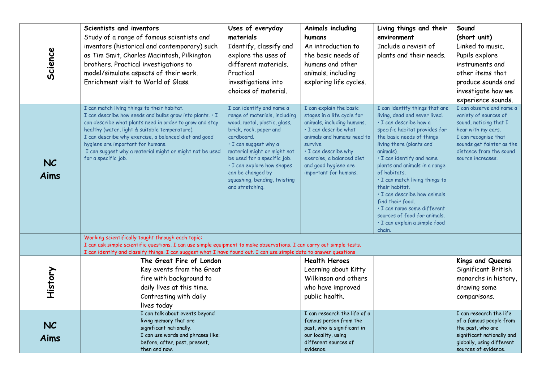| Science           | Scientists and inventors<br>Study of a range of famous scientists and<br>inventors (historical and contemporary) such<br>as Tim Smit, Charles Macintosh, Pilkington<br>brothers. Practical investigations to<br>model/simulate aspects of their work.<br>Enrichment visit to World of Glass.                                                                                                         | Uses of everyday<br>materials<br>Identify, classify and<br>explore the uses of<br>different materials.<br>Practical<br>investigations into<br>choices of material.                                                                                                                                                              | Animals including<br>humans<br>An introduction to<br>the basic needs of<br>humans and other<br>animals, including<br>exploring life cycles.                                                                                                                        | Living things and their<br>environment<br>Include a revisit of<br>plants and their needs.                                                                                                                                                                                                                                                                                                                                                                                                        | Sound<br>(short unit)<br>Linked to music.<br>Pupils explore<br>instruments and<br>other items that<br>produce sounds and<br>investigate how we<br>experience sounds.                                   |
|-------------------|------------------------------------------------------------------------------------------------------------------------------------------------------------------------------------------------------------------------------------------------------------------------------------------------------------------------------------------------------------------------------------------------------|---------------------------------------------------------------------------------------------------------------------------------------------------------------------------------------------------------------------------------------------------------------------------------------------------------------------------------|--------------------------------------------------------------------------------------------------------------------------------------------------------------------------------------------------------------------------------------------------------------------|--------------------------------------------------------------------------------------------------------------------------------------------------------------------------------------------------------------------------------------------------------------------------------------------------------------------------------------------------------------------------------------------------------------------------------------------------------------------------------------------------|--------------------------------------------------------------------------------------------------------------------------------------------------------------------------------------------------------|
| <b>NC</b><br>Aims | I can match living things to their habitat.<br>I can describe how seeds and bulbs grow into plants. . I<br>can describe what plants need in order to grow and stay<br>healthy (water, light & suitable temperature).<br>I can describe why exercise, a balanced diet and good<br>hygiene are important for humans.<br>I can suggest why a material might or might not be used<br>for a specific job. | I can identify and name a<br>range of materials, including<br>wood, metal, plastic, glass,<br>brick, rock, paper and<br>cardboard.<br>· I can suggest why a<br>material might or might not<br>be used for a specific job.<br>· I can explore how shapes<br>can be changed by<br>squashing, bending, twisting<br>and stretching. | I can explain the basic<br>stages in a life cycle for<br>animals, including humans.<br>· I can describe what<br>animals and humans need to<br>survive.<br>$\cdot$ I can describe why<br>exercise, a balanced diet<br>and good hygiene are<br>important for humans. | I can identify things that are<br>living, dead and never lived.<br>· I can describe how a<br>specific habitat provides for<br>the basic needs of things<br>living there (plants and<br>animals).<br>· I can identify and name<br>plants and animals in a range<br>of habitats.<br>· I can match living things to<br>their habitat.<br>· I can describe how animals<br>find their food.<br>· I can name some different<br>sources of food for animals.<br>· I can explain a simple food<br>chain. | I can observe and name a<br>variety of sources of<br>sound, noticing that I<br>hear with my ears.<br>I can recognise that<br>sounds get fainter as the<br>distance from the sound<br>source increases. |
|                   | Working scientifically taught through each topic:<br>I can ask simple scientific questions. I can use simple equipment to make observations. I can carry out simple tests.<br>I can identify and classify things. I can suggest what I have found out. I can use simple data to answer questions                                                                                                     |                                                                                                                                                                                                                                                                                                                                 |                                                                                                                                                                                                                                                                    |                                                                                                                                                                                                                                                                                                                                                                                                                                                                                                  |                                                                                                                                                                                                        |
| History           | The Great Fire of London<br>Key events from the Great<br>fire with background to<br>daily lives at this time.<br>Contrasting with daily<br>lives today                                                                                                                                                                                                                                               |                                                                                                                                                                                                                                                                                                                                 | <b>Health Heroes</b><br>Learning about Kitty<br>Wilkinson and others<br>who have improved<br>public health.                                                                                                                                                        |                                                                                                                                                                                                                                                                                                                                                                                                                                                                                                  | Kings and Queens<br>Significant British<br>monarchs in history,<br>drawing some<br>comparisons.                                                                                                        |
| <b>NC</b><br>Aims | I can talk about events beyond<br>living memory that are<br>significant nationally.<br>I can use words and phrases like:<br>before, after, past, present,<br>then and now.                                                                                                                                                                                                                           |                                                                                                                                                                                                                                                                                                                                 | I can research the life of a<br>famous person from the<br>past, who is significant in<br>our locality, using<br>different sources of<br>evidence.                                                                                                                  |                                                                                                                                                                                                                                                                                                                                                                                                                                                                                                  | I can research the life<br>of a famous people from<br>the past, who are<br>significant nationally and<br>globally, using different<br>sources of evidence.                                             |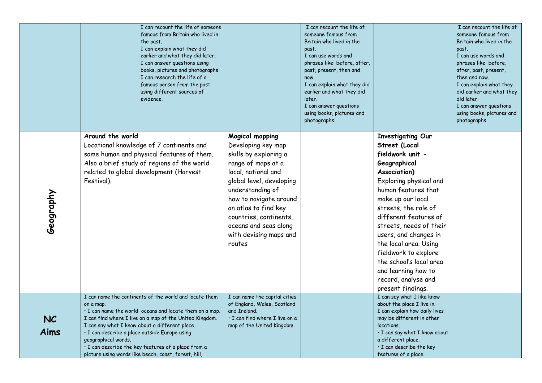|                   | I can recount the life of someone<br>famous from Britain who lived in<br>the past.<br>I can explain what they did<br>earlier and what they did later.<br>I can answer questions using<br>books, pictures and photographs.<br>I can research the life of a<br>famous person from the past<br>using different sources of<br>evidence.                                                                                                |                                                                                                                                                                                                                                                                                                             | I can recount the life of<br>someone famous from<br>Britain who lived in the<br>past.<br>I can use words and<br>phrases like: before, after,<br>past, present, then and<br>now.<br>I can explain what they did<br>earlier and what they did<br>later. |                                                                                                                                                                                                                                                                                                                                                                                                                         | I can recount the life of<br>someone famous from<br>Britain who lived in the<br>past.<br>I can use words and<br>phrases like: before,<br>after, past, present,<br>then and now.<br>I can explain what they<br>did earlier and what they<br>did later. |
|-------------------|------------------------------------------------------------------------------------------------------------------------------------------------------------------------------------------------------------------------------------------------------------------------------------------------------------------------------------------------------------------------------------------------------------------------------------|-------------------------------------------------------------------------------------------------------------------------------------------------------------------------------------------------------------------------------------------------------------------------------------------------------------|-------------------------------------------------------------------------------------------------------------------------------------------------------------------------------------------------------------------------------------------------------|-------------------------------------------------------------------------------------------------------------------------------------------------------------------------------------------------------------------------------------------------------------------------------------------------------------------------------------------------------------------------------------------------------------------------|-------------------------------------------------------------------------------------------------------------------------------------------------------------------------------------------------------------------------------------------------------|
|                   |                                                                                                                                                                                                                                                                                                                                                                                                                                    |                                                                                                                                                                                                                                                                                                             | I can answer questions<br>using books, pictures and<br>photographs.                                                                                                                                                                                   |                                                                                                                                                                                                                                                                                                                                                                                                                         | I can answer questions<br>using books, pictures and<br>photographs.                                                                                                                                                                                   |
| Geography         | Around the world<br>Locational knowledge of 7 continents and<br>some human and physical features of them.<br>Also a brief study of regions of the world<br>related to global development (Harvest<br>Festival).                                                                                                                                                                                                                    | <b>Magical mapping</b><br>Developing key map<br>skills by exploring a<br>range of maps at a<br>local, national and<br>global level, developing<br>understanding of<br>how to navigate around<br>an atlas to find key<br>countries, continents,<br>oceans and seas along<br>with devising maps and<br>routes |                                                                                                                                                                                                                                                       | <b>Investigating Our</b><br>Street (Local<br>fieldwork unit -<br>Geographical<br>Association)<br>Exploring physical and<br>human features that<br>make up our local<br>streets, the role of<br>different features of<br>streets, needs of their<br>users, and changes in<br>the local area. Using<br>fieldwork to explore<br>the school's local area<br>and learning how to<br>record, analyse and<br>present findings. |                                                                                                                                                                                                                                                       |
| <b>NC</b><br>Aims | I can name the continents of the world and locate them<br>on a map.<br>· I can name the world oceans and locate them on a map.<br>I can find where I live on a map of the United Kingdom.<br>I can say what I know about a different place.<br>· I can describe a place outside Europe using<br>geographical words.<br>· I can describe the key features of a place from a<br>picture using words like beach, coast, forest, hill, | I can name the capital cities<br>of England, Wales, Scotland<br>and Ireland.<br>· I can find where I live on a<br>map of the United Kingdom.                                                                                                                                                                |                                                                                                                                                                                                                                                       | I can say what I like know<br>about the place I live in.<br>I can explain how daily lives<br>may be different in other<br>locations.<br>· I can say what I know about<br>a different place.<br>· I can describe the key<br>features of a place.                                                                                                                                                                         |                                                                                                                                                                                                                                                       |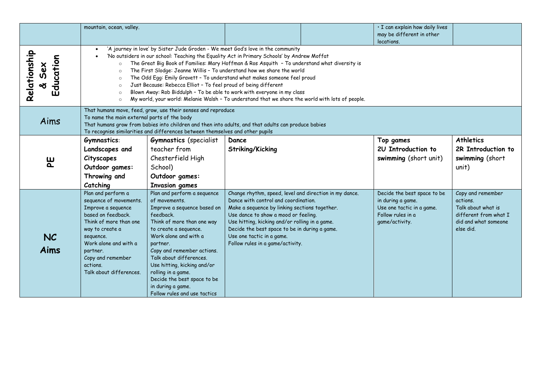|                                    | mountain, ocean, valley.                                                                                                                                                                                                                                                                                                                                                                                                                                                                                                                                                                                                                                                                                                                                                             |                                                                                                                                                                                                                                                                                                                                                                                        |                                                                                                                                                                                                                                                                                                                                                             |  | · I can explain how daily lives<br>may be different in other<br>locations.                                           |                                                                                                                   |  |  |
|------------------------------------|--------------------------------------------------------------------------------------------------------------------------------------------------------------------------------------------------------------------------------------------------------------------------------------------------------------------------------------------------------------------------------------------------------------------------------------------------------------------------------------------------------------------------------------------------------------------------------------------------------------------------------------------------------------------------------------------------------------------------------------------------------------------------------------|----------------------------------------------------------------------------------------------------------------------------------------------------------------------------------------------------------------------------------------------------------------------------------------------------------------------------------------------------------------------------------------|-------------------------------------------------------------------------------------------------------------------------------------------------------------------------------------------------------------------------------------------------------------------------------------------------------------------------------------------------------------|--|----------------------------------------------------------------------------------------------------------------------|-------------------------------------------------------------------------------------------------------------------|--|--|
| Relationship<br>Education<br>& Sex | 'A journey in love' by Sister Jude Groden - We meet God's love in the community<br>$\bullet$<br>'No outsiders in our school: Teaching the Equality Act in Primary Schools' by Andrew Moffat<br>$\bullet$<br>The Great Big Book of Families: Mary Hoffman & Ros Asquith - To understand what diversity is<br>$\circ$<br>The First Slodge: Jeanne Willis - To understand how we share the world<br>$\Omega$<br>The Odd Egg: Emily Gravett - To understand what makes someone feel proud<br>$\circ$<br>Just Because: Rebecca Elliot - To feel proud of being different<br>$\Omega$<br>Blown Away: Rob Biddulph - To be able to work with everyone in my class<br>$\circ$<br>My world, your world: Melanie Walsh - To understand that we share the world with lots of people.<br>$\circ$ |                                                                                                                                                                                                                                                                                                                                                                                        |                                                                                                                                                                                                                                                                                                                                                             |  |                                                                                                                      |                                                                                                                   |  |  |
| Aims                               |                                                                                                                                                                                                                                                                                                                                                                                                                                                                                                                                                                                                                                                                                                                                                                                      | That humans move, feed, grow, use their senses and reproduce<br>To name the main external parts of the body<br>That humans grow from babies into children and then into adults, and that adults can produce babies<br>To recognise similarities and differences between themselves and other pupils                                                                                    |                                                                                                                                                                                                                                                                                                                                                             |  |                                                                                                                      |                                                                                                                   |  |  |
| မူ                                 | Gymnastics:<br>Landscapes and<br>Cityscapes<br>Outdoor games:<br>Throwing and<br>Catching                                                                                                                                                                                                                                                                                                                                                                                                                                                                                                                                                                                                                                                                                            | <b>Gymnastics</b> (specialist<br>teacher from<br>Chesterfield High<br>School)<br>Outdoor games:<br><b>Invasion games</b>                                                                                                                                                                                                                                                               | Dance<br>Striking/Kicking                                                                                                                                                                                                                                                                                                                                   |  | Top games<br>2U Introduction to<br>swimming (short unit)                                                             | <b>Athletics</b><br>2R Introduction to<br>swimming (short<br>unit)                                                |  |  |
| <b>NC</b><br>Aims                  | Plan and perform a<br>sequence of movements.<br>Improve a sequence<br>based on feedback.<br>Think of more than one<br>way to create a<br>sequence.<br>Work alone and with a<br>partner.<br>Copy and remember<br>actions.<br>Talk about differences.                                                                                                                                                                                                                                                                                                                                                                                                                                                                                                                                  | Plan and perform a sequence<br>of movements.<br>Improve a sequence based on<br>feedback.<br>Think of more than one way<br>to create a sequence.<br>Work alone and with a<br>partner.<br>Copy and remember actions.<br>Talk about differences.<br>Use hitting, kicking and/or<br>rolling in a game.<br>Decide the best space to be<br>in during a game.<br>Follow rules and use tactics | Change rhythm, speed, level and direction in my dance.<br>Dance with control and coordination.<br>Make a sequence by linking sections together.<br>Use dance to show a mood or feeling.<br>Use hitting, kicking and/or rolling in a game.<br>Decide the best space to be in during a game.<br>Use one tactic in a game.<br>Follow rules in a game/activity. |  | Decide the best space to be<br>in during a game.<br>Use one tactic in a game.<br>Follow rules in a<br>game/activity. | Copy and remember<br>actions.<br>Talk about what is<br>different from what I<br>did and what someone<br>else did. |  |  |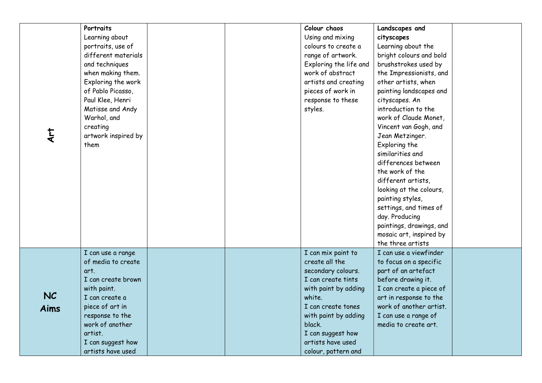| <b>E</b><br>Art   | Portraits<br>Learning about<br>portraits, use of<br>different materials<br>and techniques<br>when making them.<br>Exploring the work<br>of Pablo Picasso,<br>Paul Klee, Henri<br>Matisse and Andy<br>Warhol, and<br>creating<br>artwork inspired by<br>them | Colour chaos<br>Using and mixing<br>colours to create a<br>range of artwork.<br>Exploring the life and<br>work of abstract<br>artists and creating<br>pieces of work in<br>response to these<br>styles.                                     | Landscapes and<br>cityscapes<br>Learning about the<br>bright colours and bold<br>brushstrokes used by<br>the Impressionists, and<br>other artists, when<br>painting landscapes and<br>cityscapes. An<br>introduction to the<br>work of Claude Monet,<br>Vincent van Gogh, and<br>Jean Metzinger.<br>Exploring the<br>similarities and<br>differences between<br>the work of the<br>different artists,<br>looking at the colours,<br>painting styles,<br>settings, and times of<br>day. Producing<br>paintings, drawings, and<br>mosaic art, inspired by<br>the three artists |  |
|-------------------|-------------------------------------------------------------------------------------------------------------------------------------------------------------------------------------------------------------------------------------------------------------|---------------------------------------------------------------------------------------------------------------------------------------------------------------------------------------------------------------------------------------------|------------------------------------------------------------------------------------------------------------------------------------------------------------------------------------------------------------------------------------------------------------------------------------------------------------------------------------------------------------------------------------------------------------------------------------------------------------------------------------------------------------------------------------------------------------------------------|--|
| <b>NC</b><br>Aims | I can use a range<br>of media to create<br>art.<br>I can create brown<br>with paint.<br>I can create a<br>piece of art in<br>response to the<br>work of another<br>artist.<br>I can suggest how<br>artists have used                                        | I can mix paint to<br>create all the<br>secondary colours.<br>I can create tints<br>with paint by adding<br>white.<br>I can create tones<br>with paint by adding<br>black.<br>I can suggest how<br>artists have used<br>colour, pattern and | I can use a viewfinder<br>to focus on a specific<br>part of an artefact<br>before drawing it.<br>I can create a piece of<br>art in response to the<br>work of another artist.<br>I can use a range of<br>media to create art.                                                                                                                                                                                                                                                                                                                                                |  |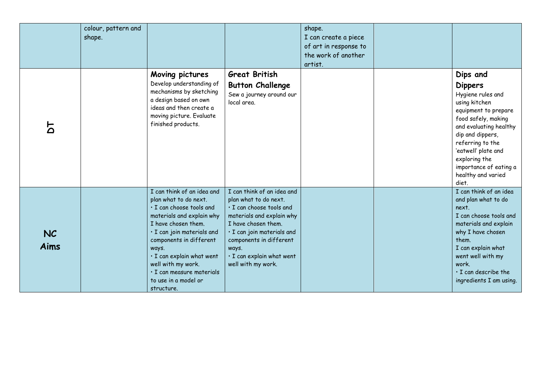|                   | colour, pattern and<br>shape. |                                                                                                                                                                                                                                                                                                                             |                                                                                                                                                                                                                                                          | shape.<br>I can create a piece<br>of art in response to<br>the work of another<br>artist. |                                                                                                                                                                                                                                                                                    |
|-------------------|-------------------------------|-----------------------------------------------------------------------------------------------------------------------------------------------------------------------------------------------------------------------------------------------------------------------------------------------------------------------------|----------------------------------------------------------------------------------------------------------------------------------------------------------------------------------------------------------------------------------------------------------|-------------------------------------------------------------------------------------------|------------------------------------------------------------------------------------------------------------------------------------------------------------------------------------------------------------------------------------------------------------------------------------|
| <u> አ</u>         |                               | Moving pictures<br>Develop understanding of<br>mechanisms by sketching<br>a design based on own<br>ideas and then create a<br>moving picture. Evaluate<br>finished products.                                                                                                                                                | <b>Great British</b><br><b>Button Challenge</b><br>Sew a journey around our<br>local area.                                                                                                                                                               |                                                                                           | Dips and<br><b>Dippers</b><br>Hygiene rules and<br>using kitchen<br>equipment to prepare<br>food safely, making<br>and evaluating healthy<br>dip and dippers,<br>referring to the<br>'eatwell' plate and<br>exploring the<br>importance of eating a<br>healthy and varied<br>diet. |
| <b>NC</b><br>Aims |                               | I can think of an idea and<br>plan what to do next.<br>· I can choose tools and<br>materials and explain why<br>I have chosen them.<br>· I can join materials and<br>components in different<br>ways.<br>· I can explain what went<br>well with my work.<br>· I can measure materials<br>to use in a model or<br>structure. | I can think of an idea and<br>plan what to do next.<br>· I can choose tools and<br>materials and explain why<br>I have chosen them.<br>· I can join materials and<br>components in different<br>ways.<br>· I can explain what went<br>well with my work. |                                                                                           | I can think of an idea<br>and plan what to do<br>next.<br>I can choose tools and<br>materials and explain<br>why I have chosen<br>them.<br>I can explain what<br>went well with my<br>work.<br>$\cdot$ I can describe the<br>ingredients I am using.                               |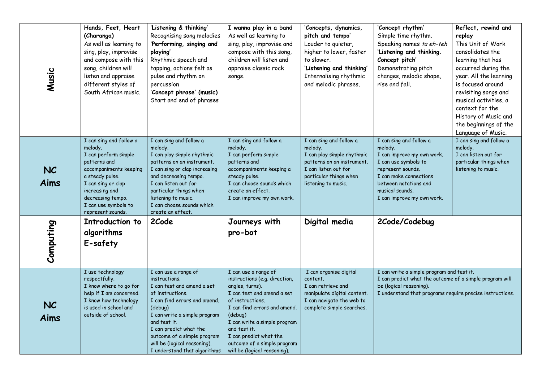| Music             | Hands, Feet, Heart<br>(Charanga)<br>As well as learning to<br>sing, play, improvise<br>and compose with this<br>song, children will<br>listen and appraise<br>different styles of<br>South African music.                         | 'Listening & thinking'<br>Recognising song melodies<br>'Performing, singing and<br>playing'<br>Rhythmic speech and<br>tapping, actions felt as<br>pulse and rhythm on<br>percussion<br>'Concept phrase' (music)<br>Start and end of phrases                                                                 | I wanna play in a band<br>As well as learning to<br>sing, play, improvise and<br>compose with this song,<br>children will listen and<br>appraise classic rock<br>songs.                                                                                                                                        | 'Concepts, dynamics,<br>pitch and tempo'<br>Louder to quieter,<br>higher to lower, faster<br>to slower.<br>'Listening and thinking'<br>Internalising rhythmic<br>and melodic phrases. | 'Concept rhythm'<br>Simple time rhythm.<br>Speaking names ta eh-teh<br>'Listening and thinking.<br>Concept pitch'<br>Demonstrating pitch<br>changes, melodic shape,<br>rise and fall.                             | Reflect, rewind and<br>replay<br>This Unit of Work<br>consolidates the<br>learning that has<br>occurred during the<br>year. All the learning<br>is focused around<br>revisiting songs and<br>musical activities, a<br>context for the<br>History of Music and<br>the beginnings of the<br>Language of Music. |
|-------------------|-----------------------------------------------------------------------------------------------------------------------------------------------------------------------------------------------------------------------------------|-------------------------------------------------------------------------------------------------------------------------------------------------------------------------------------------------------------------------------------------------------------------------------------------------------------|----------------------------------------------------------------------------------------------------------------------------------------------------------------------------------------------------------------------------------------------------------------------------------------------------------------|---------------------------------------------------------------------------------------------------------------------------------------------------------------------------------------|-------------------------------------------------------------------------------------------------------------------------------------------------------------------------------------------------------------------|--------------------------------------------------------------------------------------------------------------------------------------------------------------------------------------------------------------------------------------------------------------------------------------------------------------|
| <b>NC</b><br>Aims | I can sing and follow a<br>melody.<br>I can perform simple<br>patterns and<br>accompaniments keeping<br>a steady pulse.<br>I can sing or clap<br>increasing and<br>decreasing tempo.<br>I can use symbols to<br>represent sounds. | I can sing and follow a<br>melody.<br>I can play simple rhythmic<br>patterns on an instrument.<br>I can sing or clap increasing<br>and decreasing tempo.<br>I can listen out for<br>particular things when<br>listening to music.<br>I can choose sounds which<br>create an effect.                         | I can sing and follow a<br>melody.<br>I can perform simple<br>patterns and<br>accompaniments keeping a<br>steady pulse.<br>I can choose sounds which<br>create an effect.<br>I can improve my own work.                                                                                                        | I can sing and follow a<br>melody.<br>I can play simple rhythmic<br>patterns on an instrument.<br>I can listen out for<br>particular things when<br>listening to music.               | I can sing and follow a<br>melody.<br>I can improve my own work.<br>I can use symbols to<br>represent sounds.<br>I can make connections<br>between notations and<br>musical sounds.<br>I can improve my own work. | I can sing and follow a<br>melody.<br>I can listen out for<br>particular things when<br>listening to music.                                                                                                                                                                                                  |
| Computing         | Introduction to<br>algorithms<br>E-safety                                                                                                                                                                                         | 2Code                                                                                                                                                                                                                                                                                                       | Journeys with<br>pro-bot                                                                                                                                                                                                                                                                                       | Digital media                                                                                                                                                                         | 2Code/Codebug                                                                                                                                                                                                     |                                                                                                                                                                                                                                                                                                              |
| <b>NC</b><br>Aims | I use technology<br>respectfully.<br>I know where to go for<br>help if I am concerned.<br>I know how technology<br>is used in school and<br>outside of school.                                                                    | I can use a range of<br>instructions.<br>I can test and amend a set<br>of instructions.<br>I can find errors and amend.<br>(debug)<br>I can write a simple program<br>and test it.<br>I can predict what the<br>outcome of a simple program<br>will be (logical reasoning).<br>I understand that algorithms | I can use a range of<br>instructions (e.g. direction,<br>angles, turns).<br>I can test and amend a set<br>of instructions.<br>I can find errors and amend.<br>(debug)<br>I can write a simple program<br>and test it.<br>I can predict what the<br>outcome of a simple program<br>will be (logical reasoning). | I can organise digital<br>content.<br>I can retrieve and<br>manipulate digital content.<br>I can navigate the web to<br>complete simple searches.                                     | I can write a simple program and test it.<br>I can predict what the outcome of a simple program will<br>be (logical reasoning).<br>I understand that programs require precise instructions.                       |                                                                                                                                                                                                                                                                                                              |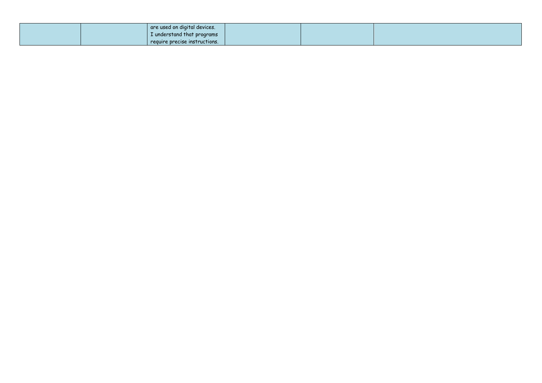|  | are used on digital devices.  |  |  |
|--|-------------------------------|--|--|
|  | I understand that programs    |  |  |
|  | require precise instructions. |  |  |